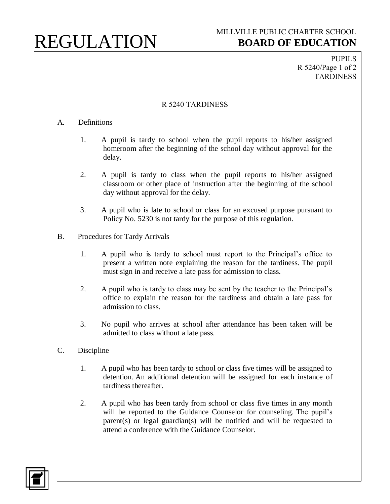## REGULATION

PUPILS R 5240/Page 1 of 2 TARDINESS

## R 5240 TARDINESS

## A. Definitions

- 1. A pupil is tardy to school when the pupil reports to his/her assigned homeroom after the beginning of the school day without approval for the delay.
- 2. A pupil is tardy to class when the pupil reports to his/her assigned classroom or other place of instruction after the beginning of the school day without approval for the delay.
- 3. A pupil who is late to school or class for an excused purpose pursuant to Policy No. 5230 is not tardy for the purpose of this regulation.
- B. Procedures for Tardy Arrivals
	- 1. A pupil who is tardy to school must report to the Principal's office to present a written note explaining the reason for the tardiness. The pupil must sign in and receive a late pass for admission to class.
	- 2. A pupil who is tardy to class may be sent by the teacher to the Principal's office to explain the reason for the tardiness and obtain a late pass for admission to class.
	- 3. No pupil who arrives at school after attendance has been taken will be admitted to class without a late pass.
- C. Discipline
	- 1. A pupil who has been tardy to school or class five times will be assigned to detention. An additional detention will be assigned for each instance of tardiness thereafter.
	- 2. A pupil who has been tardy from school or class five times in any month will be reported to the Guidance Counselor for counseling. The pupil's parent(s) or legal guardian(s) will be notified and will be requested to attend a conference with the Guidance Counselor.